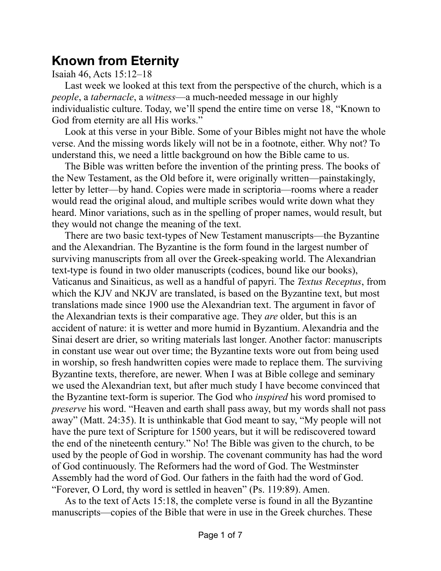## **Known from Eternity**

## Isaiah 46, Acts 15:12–18

Last week we looked at this text from the perspective of the church, which is a *people*, a *tabernacle*, a *witness*—a much-needed message in our highly individualistic culture. Today, we'll spend the entire time on verse 18, "Known to God from eternity are all His works."

Look at this verse in your Bible. Some of your Bibles might not have the whole verse. And the missing words likely will not be in a footnote, either. Why not? To understand this, we need a little background on how the Bible came to us.

The Bible was written before the invention of the printing press. The books of the New Testament, as the Old before it, were originally written—painstakingly, letter by letter—by hand. Copies were made in scriptoria—rooms where a reader would read the original aloud, and multiple scribes would write down what they heard. Minor variations, such as in the spelling of proper names, would result, but they would not change the meaning of the text.

There are two basic text-types of New Testament manuscripts—the Byzantine and the Alexandrian. The Byzantine is the form found in the largest number of surviving manuscripts from all over the Greek-speaking world. The Alexandrian text-type is found in two older manuscripts (codices, bound like our books), Vaticanus and Sinaiticus, as well as a handful of papyri. The *Textus Receptus*, from which the KJV and NKJV are translated, is based on the Byzantine text, but most translations made since 1900 use the Alexandrian text. The argument in favor of the Alexandrian texts is their comparative age. They *are* older, but this is an accident of nature: it is wetter and more humid in Byzantium. Alexandria and the Sinai desert are drier, so writing materials last longer. Another factor: manuscripts in constant use wear out over time; the Byzantine texts wore out from being used in worship, so fresh handwritten copies were made to replace them. The surviving Byzantine texts, therefore, are newer. When I was at Bible college and seminary we used the Alexandrian text, but after much study I have become convinced that the Byzantine text-form is superior. The God who *inspired* his word promised to *preserve* his word. "Heaven and earth shall pass away, but my words shall not pass away" (Matt. 24:35). It is unthinkable that God meant to say, "My people will not have the pure text of Scripture for 1500 years, but it will be rediscovered toward the end of the nineteenth century." No! The Bible was given to the church, to be used by the people of God in worship. The covenant community has had the word of God continuously. The Reformers had the word of God. The Westminster Assembly had the word of God. Our fathers in the faith had the word of God. "Forever, O Lord, thy word is settled in heaven" (Ps. 119:89). Amen.

As to the text of Acts 15:18, the complete verse is found in all the Byzantine manuscripts—copies of the Bible that were in use in the Greek churches. These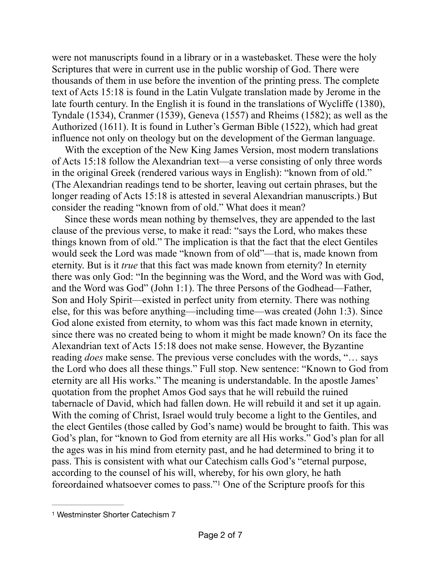were not manuscripts found in a library or in a wastebasket. These were the holy Scriptures that were in current use in the public worship of God. There were thousands of them in use before the invention of the printing press. The complete text of Acts 15:18 is found in the Latin Vulgate translation made by Jerome in the late fourth century. In the English it is found in the translations of Wycliffe (1380), Tyndale (1534), Cranmer (1539), Geneva (1557) and Rheims (1582); as well as the Authorized (1611). It is found in Luther's German Bible (1522), which had great influence not only on theology but on the development of the German language.

With the exception of the New King James Version, most modern translations of Acts 15:18 follow the Alexandrian text—a verse consisting of only three words in the original Greek (rendered various ways in English): "known from of old." (The Alexandrian readings tend to be shorter, leaving out certain phrases, but the longer reading of Acts 15:18 is attested in several Alexandrian manuscripts.) But consider the reading "known from of old." What does it mean?

Since these words mean nothing by themselves, they are appended to the last clause of the previous verse, to make it read: "says the Lord, who makes these things known from of old." The implication is that the fact that the elect Gentiles would seek the Lord was made "known from of old"—that is, made known from eternity. But is it *true* that this fact was made known from eternity? In eternity there was only God: "In the beginning was the Word, and the Word was with God, and the Word was God" (John 1:1). The three Persons of the Godhead—Father, Son and Holy Spirit—existed in perfect unity from eternity. There was nothing else, for this was before anything—including time—was created (John 1:3). Since God alone existed from eternity, to whom was this fact made known in eternity, since there was no created being to whom it might be made known? On its face the Alexandrian text of Acts 15:18 does not make sense. However, the Byzantine reading *does* make sense. The previous verse concludes with the words, "… says the Lord who does all these things." Full stop. New sentence: "Known to God from eternity are all His works." The meaning is understandable. In the apostle James' quotation from the prophet Amos God says that he will rebuild the ruined tabernacle of David, which had fallen down. He will rebuild it and set it up again. With the coming of Christ, Israel would truly become a light to the Gentiles, and the elect Gentiles (those called by God's name) would be brought to faith. This was God's plan, for "known to God from eternity are all His works." God's plan for all the ages was in his mind from eternity past, and he had determined to bring it to pass. This is consistent with what our Catechism calls God's "eternal purpose, according to the counsel of his will, whereby, for his own glory, he hath foreordained whatsoever comes to pass."<sup>[1](#page-1-0)</sup> One of the Scripture proofs for this

<span id="page-1-1"></span><span id="page-1-0"></span>[<sup>1</sup>](#page-1-1) Westminster Shorter Catechism 7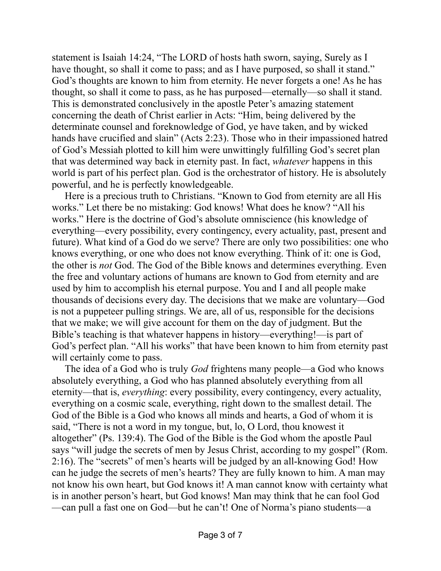statement is Isaiah 14:24, "The LORD of hosts hath sworn, saying, Surely as I have thought, so shall it come to pass; and as I have purposed, so shall it stand." God's thoughts are known to him from eternity. He never forgets a one! As he has thought, so shall it come to pass, as he has purposed—eternally—so shall it stand. This is demonstrated conclusively in the apostle Peter's amazing statement concerning the death of Christ earlier in Acts: "Him, being delivered by the determinate counsel and foreknowledge of God, ye have taken, and by wicked hands have crucified and slain" (Acts 2:23). Those who in their impassioned hatred of God's Messiah plotted to kill him were unwittingly fulfilling God's secret plan that was determined way back in eternity past. In fact, *whatever* happens in this world is part of his perfect plan. God is the orchestrator of history. He is absolutely powerful, and he is perfectly knowledgeable.

Here is a precious truth to Christians. "Known to God from eternity are all His works." Let there be no mistaking: God knows! What does he know? "All his works." Here is the doctrine of God's absolute omniscience (his knowledge of everything—every possibility, every contingency, every actuality, past, present and future). What kind of a God do we serve? There are only two possibilities: one who knows everything, or one who does not know everything. Think of it: one is God, the other is *not* God. The God of the Bible knows and determines everything. Even the free and voluntary actions of humans are known to God from eternity and are used by him to accomplish his eternal purpose. You and I and all people make thousands of decisions every day. The decisions that we make are voluntary—God is not a puppeteer pulling strings. We are, all of us, responsible for the decisions that we make; we will give account for them on the day of judgment. But the Bible's teaching is that whatever happens in history—everything!—is part of God's perfect plan. "All his works" that have been known to him from eternity past will certainly come to pass.

The idea of a God who is truly *God* frightens many people—a God who knows absolutely everything, a God who has planned absolutely everything from all eternity—that is, *everything*: every possibility, every contingency, every actuality, everything on a cosmic scale, everything, right down to the smallest detail. The God of the Bible is a God who knows all minds and hearts, a God of whom it is said, "There is not a word in my tongue, but, lo, O Lord, thou knowest it altogether" (Ps. 139:4). The God of the Bible is the God whom the apostle Paul says "will judge the secrets of men by Jesus Christ, according to my gospel" (Rom. 2:16). The "secrets" of men's hearts will be judged by an all-knowing God! How can he judge the secrets of men's hearts? They are fully known to him. A man may not know his own heart, but God knows it! A man cannot know with certainty what is in another person's heart, but God knows! Man may think that he can fool God —can pull a fast one on God—but he can't! One of Norma's piano students—a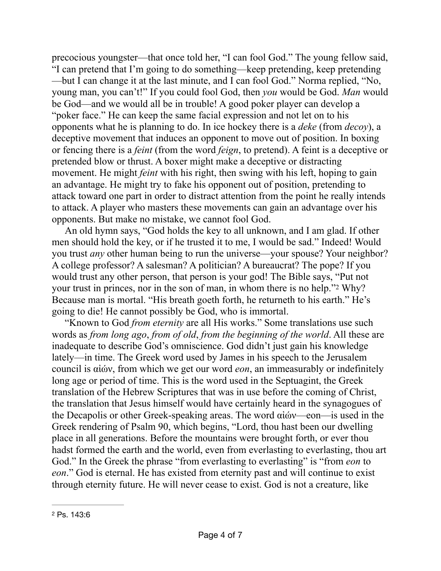precocious youngster—that once told her, "I can fool God." The young fellow said, "I can pretend that I'm going to do something—keep pretending, keep pretending —but I can change it at the last minute, and I can fool God." Norma replied, "No, young man, you can't!" If you could fool God, then *you* would be God. *Man* would be God—and we would all be in trouble! A good poker player can develop a "poker face." He can keep the same facial expression and not let on to his opponents what he is planning to do. In ice hockey there is a *deke* (from *decoy*), a deceptive movement that induces an opponent to move out of position. In boxing or fencing there is a *feint* (from the word *feign*, to pretend). A feint is a deceptive or pretended blow or thrust. A boxer might make a deceptive or distracting movement. He might *feint* with his right, then swing with his left, hoping to gain an advantage. He might try to fake his opponent out of position, pretending to attack toward one part in order to distract attention from the point he really intends to attack. A player who masters these movements can gain an advantage over his opponents. But make no mistake, we cannot fool God.

An old hymn says, "God holds the key to all unknown, and I am glad. If other men should hold the key, or if he trusted it to me, I would be sad." Indeed! Would you trust *any* other human being to run the universe—your spouse? Your neighbor? A college professor? A salesman? A politician? A bureaucrat? The pope? If you would trust any other person, that person is your god! The Bible says, "Put not your trust in princes, nor in the son of man, in whom there is no help."<sup>[2](#page-3-0)</sup> Why? Because man is mortal. "His breath goeth forth, he returneth to his earth." He's going to die! He cannot possibly be God, who is immortal.

<span id="page-3-1"></span>"Known to God *from eternity* are all His works." Some translations use such words as *from long ago*, *from of old*, *from the beginning of the world*. All these are inadequate to describe God's omniscience. God didn't just gain his knowledge lately—in time. The Greek word used by James in his speech to the Jerusalem council is αἰών, from which we get our word *eon*, an immeasurably or indefinitely long age or period of time. This is the word used in the Septuagint, the Greek translation of the Hebrew Scriptures that was in use before the coming of Christ, the translation that Jesus himself would have certainly heard in the synagogues of the Decapolis or other Greek-speaking areas. The word αἰών—eon—is used in the Greek rendering of Psalm 90, which begins, "Lord, thou hast been our dwelling place in all generations. Before the mountains were brought forth, or ever thou hadst formed the earth and the world, even from everlasting to everlasting, thou art God." In the Greek the phrase "from everlasting to everlasting" is "from *eon* to *eon*." God is eternal. He has existed from eternity past and will continue to exist through eternity future. He will never cease to exist. God is not a creature, like

<span id="page-3-0"></span>[<sup>2</sup>](#page-3-1) Ps. 143:6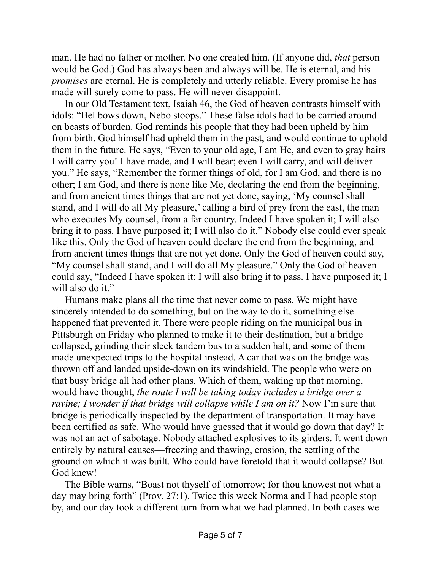man. He had no father or mother. No one created him. (If anyone did, *that* person would be God.) God has always been and always will be. He is eternal, and his *promises* are eternal. He is completely and utterly reliable. Every promise he has made will surely come to pass. He will never disappoint.

In our Old Testament text, Isaiah 46, the God of heaven contrasts himself with idols: "Bel bows down, Nebo stoops." These false idols had to be carried around on beasts of burden. God reminds his people that they had been upheld by him from birth. God himself had upheld them in the past, and would continue to uphold them in the future. He says, "Even to your old age, I am He, and even to gray hairs I will carry you! I have made, and I will bear; even I will carry, and will deliver you." He says, "Remember the former things of old, for I am God, and there is no other; I am God, and there is none like Me, declaring the end from the beginning, and from ancient times things that are not yet done, saying, 'My counsel shall stand, and I will do all My pleasure,' calling a bird of prey from the east, the man who executes My counsel, from a far country. Indeed I have spoken it; I will also bring it to pass. I have purposed it; I will also do it." Nobody else could ever speak like this. Only the God of heaven could declare the end from the beginning, and from ancient times things that are not yet done. Only the God of heaven could say, "My counsel shall stand, and I will do all My pleasure." Only the God of heaven could say, "Indeed I have spoken it; I will also bring it to pass. I have purposed it; I will also do it."

Humans make plans all the time that never come to pass. We might have sincerely intended to do something, but on the way to do it, something else happened that prevented it. There were people riding on the municipal bus in Pittsburgh on Friday who planned to make it to their destination, but a bridge collapsed, grinding their sleek tandem bus to a sudden halt, and some of them made unexpected trips to the hospital instead. A car that was on the bridge was thrown off and landed upside-down on its windshield. The people who were on that busy bridge all had other plans. Which of them, waking up that morning, would have thought, *the route I will be taking today includes a bridge over a ravine; I wonder if that bridge will collapse while I am on it?* Now I'm sure that bridge is periodically inspected by the department of transportation. It may have been certified as safe. Who would have guessed that it would go down that day? It was not an act of sabotage. Nobody attached explosives to its girders. It went down entirely by natural causes—freezing and thawing, erosion, the settling of the ground on which it was built. Who could have foretold that it would collapse? But God knew!

The Bible warns, "Boast not thyself of tomorrow; for thou knowest not what a day may bring forth" (Prov. 27:1). Twice this week Norma and I had people stop by, and our day took a different turn from what we had planned. In both cases we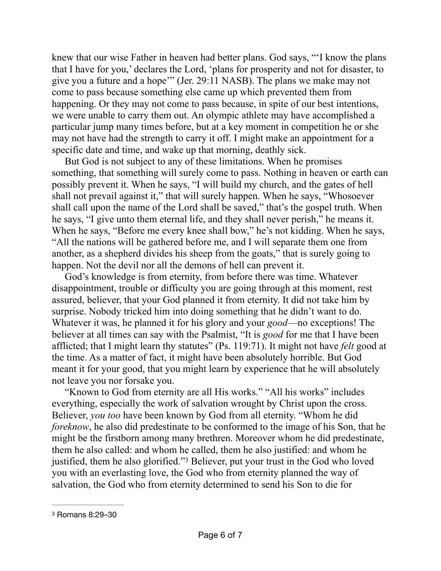knew that our wise Father in heaven had better plans. God says, "'I know the plans that I have for you,' declares the Lord, 'plans for prosperity and not for disaster, to give you a future and a hope'" (Jer. 29:11 NASB). The plans we make may not come to pass because something else came up which prevented them from happening. Or they may not come to pass because, in spite of our best intentions, we were unable to carry them out. An olympic athlete may have accomplished a particular jump many times before, but at a key moment in competition he or she may not have had the strength to carry it off. I might make an appointment for a specific date and time, and wake up that morning, deathly sick.

But God is not subject to any of these limitations. When he promises something, that something will surely come to pass. Nothing in heaven or earth can possibly prevent it. When he says, "I will build my church, and the gates of hell shall not prevail against it," that will surely happen. When he says, "Whosoever shall call upon the name of the Lord shall be saved," that's the gospel truth. When he says, "I give unto them eternal life, and they shall never perish," he means it. When he says, "Before me every knee shall bow," he's not kidding. When he says, "All the nations will be gathered before me, and I will separate them one from another, as a shepherd divides his sheep from the goats," that is surely going to happen. Not the devil nor all the demons of hell can prevent it.

God's knowledge is from eternity, from before there was time. Whatever disappointment, trouble or difficulty you are going through at this moment, rest assured, believer, that your God planned it from eternity. It did not take him by surprise. Nobody tricked him into doing something that he didn't want to do. Whatever it was, he planned it for his glory and your *good*—no exceptions! The believer at all times can say with the Psalmist, "It is *good* for me that I have been afflicted; that I might learn thy statutes" (Ps. 119:71). It might not have *felt* good at the time. As a matter of fact, it might have been absolutely horrible. But God meant it for your good, that you might learn by experience that he will absolutely not leave you nor forsake you.

"Known to God from eternity are all His works." "All his works" includes everything, especially the work of salvation wrought by Christ upon the cross. Believer, *you too* have been known by God from all eternity. "Whom he did *foreknow*, he also did predestinate to be conformed to the image of his Son, that he might be the firstborn among many brethren. Moreover whom he did predestinate, them he also called: and whom he called, them he also justified: and whom he justified, them he also glorified."<sup>[3](#page-5-0)</sup> Believer, put your trust in the God who loved you with an everlasting love, the God who from eternity planned the way of salvation, the God who from eternity determined to send his Son to die for

<span id="page-5-1"></span><span id="page-5-0"></span>[<sup>3</sup>](#page-5-1) Romans 8:29–30